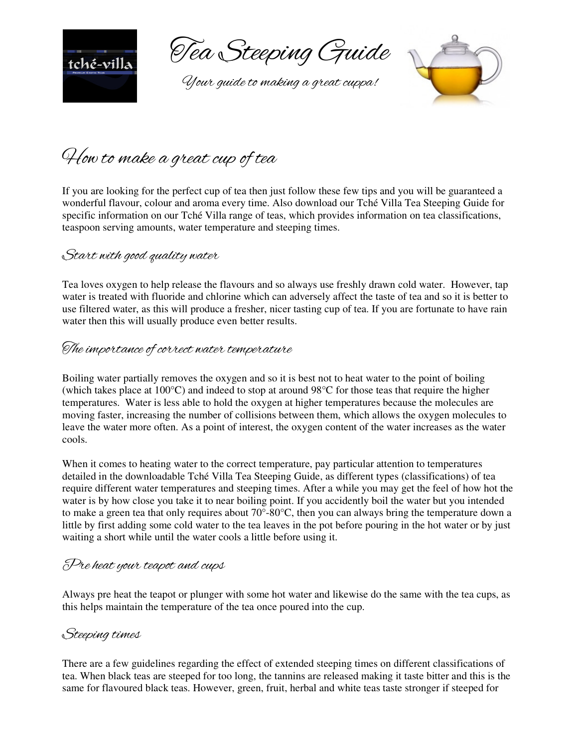

Tea Steeping Guide

Your guide to making a great cuppa!



How to make a great cup of tea

If you are looking for the perfect cup of tea then just follow these few tips and you will be guaranteed a wonderful flavour, colour and aroma every time. Also download our Tché Villa Tea Steeping Guide for specific information on our Tché Villa range of teas, which provides information on tea classifications, teaspoon serving amounts, water temperature and steeping times.

#### Start with good quality water

Tea loves oxygen to help release the flavours and so always use freshly drawn cold water. However, tap water is treated with fluoride and chlorine which can adversely affect the taste of tea and so it is better to use filtered water, as this will produce a fresher, nicer tasting cup of tea. If you are fortunate to have rain water then this will usually produce even better results.

## The importance of correct water temperature

Boiling water partially removes the oxygen and so it is best not to heat water to the point of boiling (which takes place at 100°C) and indeed to stop at around 98°C for those teas that require the higher temperatures. Water is less able to hold the oxygen at higher temperatures because the molecules are moving faster, increasing the number of collisions between them, which allows the oxygen molecules to leave the water more often. As a point of interest, the oxygen content of the water increases as the water cools.

When it comes to heating water to the correct temperature, pay particular attention to temperatures detailed in the downloadable Tché Villa Tea Steeping Guide, as different types (classifications) of tea require different water temperatures and steeping times. After a while you may get the feel of how hot the water is by how close you take it to near boiling point. If you accidently boil the water but you intended to make a green tea that only requires about 70°-80°C, then you can always bring the temperature down a little by first adding some cold water to the tea leaves in the pot before pouring in the hot water or by just waiting a short while until the water cools a little before using it.

## Pre heat your teapot and cups

Always pre heat the teapot or plunger with some hot water and likewise do the same with the tea cups, as this helps maintain the temperature of the tea once poured into the cup.

### Steeping times

There are a few guidelines regarding the effect of extended steeping times on different classifications of tea. When black teas are steeped for too long, the tannins are released making it taste bitter and this is the same for flavoured black teas. However, green, fruit, herbal and white teas taste stronger if steeped for